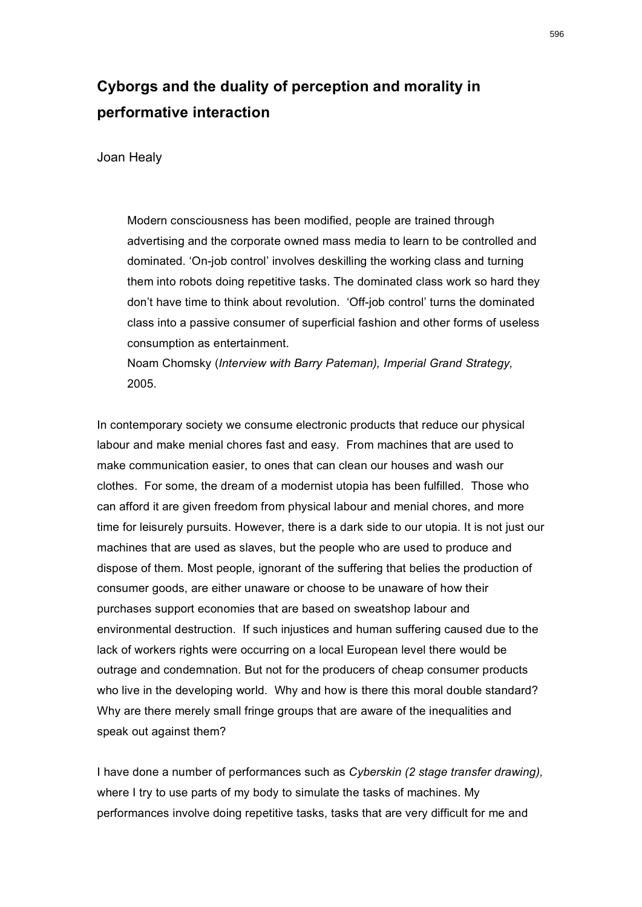## **Cyborgs and the duality of perception and morality in performative interaction**

Joan Healy

Modern consciousness has been modified, people are trained through advertising and the corporate owned mass media to learn to be controlled and dominated. 'On-job control' involves deskilling the working class and turning them into robots doing repetitive tasks. The dominated class work so hard they don't have time to think about revolution. 'Off-job control' turns the dominated class into a passive consumer of superficial fashion and other forms of useless consumption as entertainment.

Noam Chomsky (*Interview with Barry Pateman), Imperial Grand Strategy,* 2005.

In contemporary society we consume electronic products that reduce our physical labour and make menial chores fast and easy. From machines that are used to make communication easier, to ones that can clean our houses and wash our clothes. For some, the dream of a modernist utopia has been fulfilled. Those who can afford it are given freedom from physical labour and menial chores, and more time for leisurely pursuits. However, there is a dark side to our utopia. It is not just our machines that are used as slaves, but the people who are used to produce and dispose of them. Most people, ignorant of the suffering that belies the production of consumer goods, are either unaware or choose to be unaware of how their purchases support economies that are based on sweatshop labour and environmental destruction. If such injustices and human suffering caused due to the lack of workers rights were occurring on a local European level there would be outrage and condemnation. But not for the producers of cheap consumer products who live in the developing world. Why and how is there this moral double standard? Why are there merely small fringe groups that are aware of the inequalities and speak out against them?

I have done a number of performances such as *Cyberskin (2 stage transfer drawing),*  where I try to use parts of my body to simulate the tasks of machines. My performances involve doing repetitive tasks, tasks that are very difficult for me and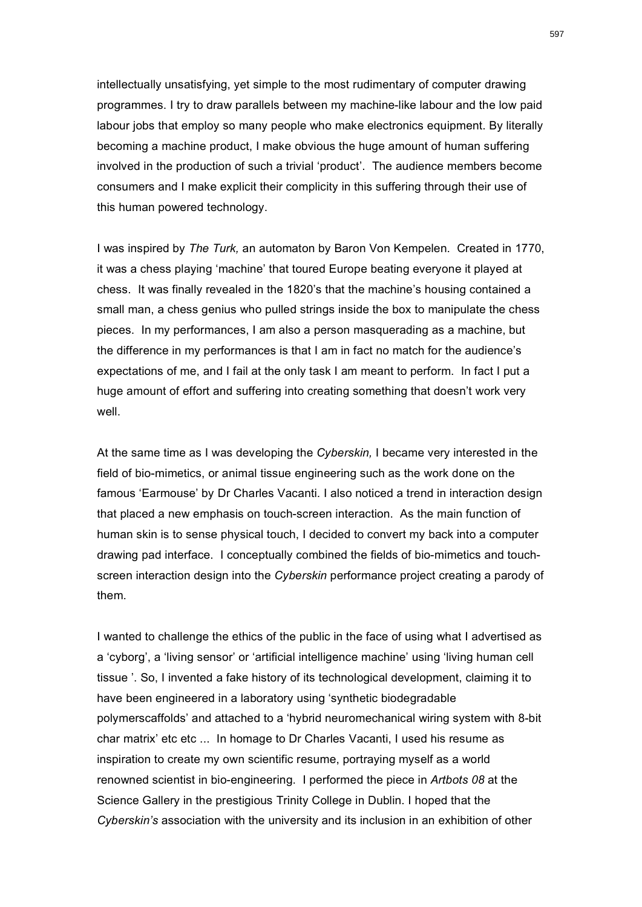intellectually unsatisfying, yet simple to the most rudimentary of computer drawing programmes. I try to draw parallels between my machine-like labour and the low paid labour jobs that employ so many people who make electronics equipment. By literally becoming a machine product, I make obvious the huge amount of human suffering involved in the production of such a trivial 'product'. The audience members become consumers and I make explicit their complicity in this suffering through their use of this human powered technology.

I was inspired by *The Turk,* an automaton by Baron Von Kempelen. Created in 1770, it was a chess playing 'machine' that toured Europe beating everyone it played at chess. It was finally revealed in the 1820's that the machine's housing contained a small man, a chess genius who pulled strings inside the box to manipulate the chess pieces. In my performances, I am also a person masquerading as a machine, but the difference in my performances is that I am in fact no match for the audience's expectations of me, and I fail at the only task I am meant to perform. In fact I put a huge amount of effort and suffering into creating something that doesn't work very well

At the same time as I was developing the *Cyberskin,* I became very interested in the field of bio-mimetics, or animal tissue engineering such as the work done on the famous 'Earmouse' by Dr Charles Vacanti. I also noticed a trend in interaction design that placed a new emphasis on touch-screen interaction. As the main function of human skin is to sense physical touch, I decided to convert my back into a computer drawing pad interface. I conceptually combined the fields of bio-mimetics and touchscreen interaction design into the *Cyberskin* performance project creating a parody of them.

I wanted to challenge the ethics of the public in the face of using what I advertised as a 'cyborg', a 'living sensor' or 'artificial intelligence machine' using 'living human cell tissue '. So, I invented a fake history of its technological development, claiming it to have been engineered in a laboratory using 'synthetic biodegradable polymerscaffolds' and attached to a 'hybrid neuromechanical wiring system with 8-bit char matrix' etc etc ... In homage to Dr Charles Vacanti, I used his resume as inspiration to create my own scientific resume, portraying myself as a world renowned scientist in bio-engineering. I performed the piece in *Artbots 08* at the Science Gallery in the prestigious Trinity College in Dublin. I hoped that the *Cyberskin's* association with the university and its inclusion in an exhibition of other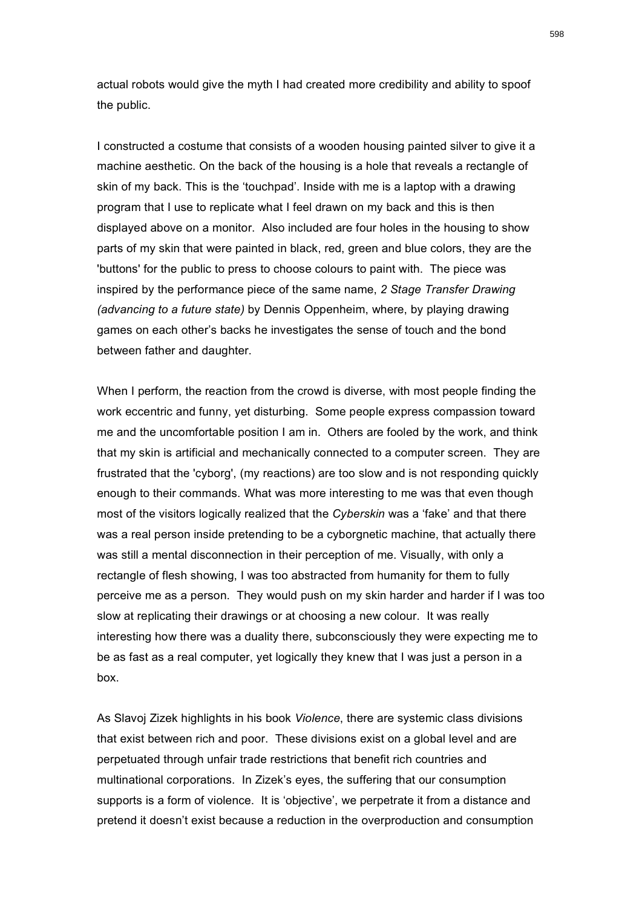actual robots would give the myth I had created more credibility and ability to spoof the public.

I constructed a costume that consists of a wooden housing painted silver to give it a machine aesthetic. On the back of the housing is a hole that reveals a rectangle of skin of my back. This is the 'touchpad'. Inside with me is a laptop with a drawing program that I use to replicate what I feel drawn on my back and this is then displayed above on a monitor. Also included are four holes in the housing to show parts of my skin that were painted in black, red, green and blue colors, they are the 'buttons' for the public to press to choose colours to paint with. The piece was inspired by the performance piece of the same name, *2 Stage Transfer Drawing (advancing to a future state)* by Dennis Oppenheim, where, by playing drawing games on each other's backs he investigates the sense of touch and the bond between father and daughter.

When I perform, the reaction from the crowd is diverse, with most people finding the work eccentric and funny, yet disturbing. Some people express compassion toward me and the uncomfortable position I am in. Others are fooled by the work, and think that my skin is artificial and mechanically connected to a computer screen. They are frustrated that the 'cyborg', (my reactions) are too slow and is not responding quickly enough to their commands. What was more interesting to me was that even though most of the visitors logically realized that the *Cyberskin* was a 'fake' and that there was a real person inside pretending to be a cyborgnetic machine, that actually there was still a mental disconnection in their perception of me. Visually, with only a rectangle of flesh showing, I was too abstracted from humanity for them to fully perceive me as a person. They would push on my skin harder and harder if I was too slow at replicating their drawings or at choosing a new colour. It was really interesting how there was a duality there, subconsciously they were expecting me to be as fast as a real computer, yet logically they knew that I was just a person in a box.

As Slavoj Zizek highlights in his book *Violence*, there are systemic class divisions that exist between rich and poor. These divisions exist on a global level and are perpetuated through unfair trade restrictions that benefit rich countries and multinational corporations. In Zizek's eyes, the suffering that our consumption supports is a form of violence. It is 'objective', we perpetrate it from a distance and pretend it doesn't exist because a reduction in the overproduction and consumption